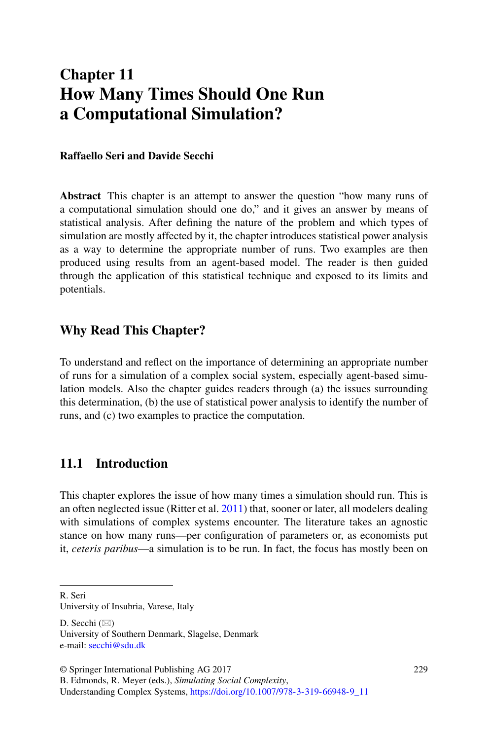# **Chapter 11 How Many Times Should One Run a Computational Simulation?**

#### **Raffaello Seri and Davide Secchi**

**Abstract** This chapter is an attempt to answer the question "how many runs of a computational simulation should one do," and it gives an answer by means of statistical analysis. After defining the nature of the problem and which types of simulation are mostly affected by it, the chapter introduces statistical power analysis as a way to determine the appropriate number of runs. Two examples are then produced using results from an agent-based model. The reader is then guided through the application of this statistical technique and exposed to its limits and potentials.

### **Why Read This Chapter?**

To understand and reflect on the importance of determining an appropriate number of runs for a simulation of a complex social system, especially agent-based simulation models. Also the chapter guides readers through (a) the issues surrounding this determination, (b) the use of statistical power analysis to identify the number of runs, and (c) two examples to practice the computation.

## **11.1 Introduction**

This chapter explores the issue of how many times a simulation should run. This is an often neglected issue (Ritter et al. [2011\)](#page-21-0) that, sooner or later, all modelers dealing with simulations of complex systems encounter. The literature takes an agnostic stance on how many runs—per configuration of parameters or, as economists put it, *ceteris paribus*—a simulation is to be run. In fact, the focus has mostly been on

R. Seri

University of Insubria, Varese, Italy

D. Secchi (⊠) University of Southern Denmark, Slagelse, Denmark e-mail: [secchi@sdu.dk](mailto:secchi@sdu.dk)

© Springer International Publishing AG 2017

B. Edmonds, R. Meyer (eds.), *Simulating Social Complexity*,

Understanding Complex Systems, [https://doi.org/10.1007/978-3-319-66948-9\\_11](https://doi.org/10.1007/978-3-319-66948-9_11)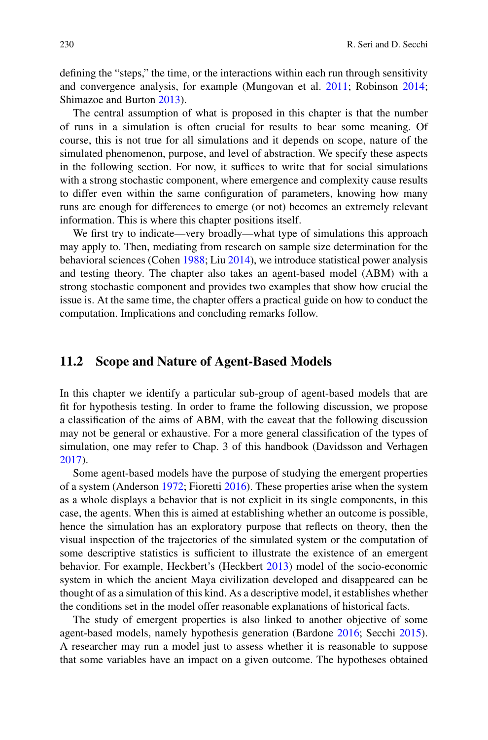defining the "steps," the time, or the interactions within each run through sensitivity and convergence analysis, for example (Mungovan et al. [2011;](#page-21-1) Robinson [2014;](#page-21-2) Shimazoe and Burton [2013\)](#page-22-0).

The central assumption of what is proposed in this chapter is that the number of runs in a simulation is often crucial for results to bear some meaning. Of course, this is not true for all simulations and it depends on scope, nature of the simulated phenomenon, purpose, and level of abstraction. We specify these aspects in the following section. For now, it suffices to write that for social simulations with a strong stochastic component, where emergence and complexity cause results to differ even within the same configuration of parameters, knowing how many runs are enough for differences to emerge (or not) becomes an extremely relevant information. This is where this chapter positions itself.

We first try to indicate—very broadly—what type of simulations this approach may apply to. Then, mediating from research on sample size determination for the behavioral sciences (Cohen [1988;](#page-20-0) Liu [2014\)](#page-21-3), we introduce statistical power analysis and testing theory. The chapter also takes an agent-based model (ABM) with a strong stochastic component and provides two examples that show how crucial the issue is. At the same time, the chapter offers a practical guide on how to conduct the computation. Implications and concluding remarks follow.

### **11.2 Scope and Nature of Agent-Based Models**

In this chapter we identify a particular sub-group of agent-based models that are fit for hypothesis testing. In order to frame the following discussion, we propose a classification of the aims of ABM, with the caveat that the following discussion may not be general or exhaustive. For a more general classification of the types of simulation, one may refer to Chap. 3 of this handbook (Davidsson and Verhagen [2017\)](#page-20-1).

Some agent-based models have the purpose of studying the emergent properties of a system (Anderson [1972;](#page-20-2) Fioretti [2016\)](#page-20-3). These properties arise when the system as a whole displays a behavior that is not explicit in its single components, in this case, the agents. When this is aimed at establishing whether an outcome is possible, hence the simulation has an exploratory purpose that reflects on theory, then the visual inspection of the trajectories of the simulated system or the computation of some descriptive statistics is sufficient to illustrate the existence of an emergent behavior. For example, Heckbert's (Heckbert [2013\)](#page-20-4) model of the socio-economic system in which the ancient Maya civilization developed and disappeared can be thought of as a simulation of this kind. As a descriptive model, it establishes whether the conditions set in the model offer reasonable explanations of historical facts.

The study of emergent properties is also linked to another objective of some agent-based models, namely hypothesis generation (Bardone [2016;](#page-20-5) Secchi [2015\)](#page-21-4). A researcher may run a model just to assess whether it is reasonable to suppose that some variables have an impact on a given outcome. The hypotheses obtained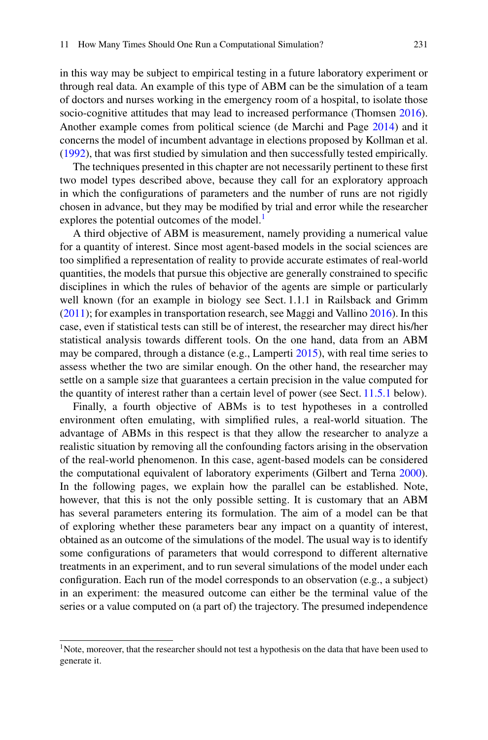in this way may be subject to empirical testing in a future laboratory experiment or through real data. An example of this type of ABM can be the simulation of a team of doctors and nurses working in the emergency room of a hospital, to isolate those socio-cognitive attitudes that may lead to increased performance (Thomsen [2016\)](#page-22-1). Another example comes from political science (de Marchi and Page [2014\)](#page-20-6) and it concerns the model of incumbent advantage in elections proposed by Kollman et al. [\(1992\)](#page-21-5), that was first studied by simulation and then successfully tested empirically.

The techniques presented in this chapter are not necessarily pertinent to these first two model types described above, because they call for an exploratory approach in which the configurations of parameters and the number of runs are not rigidly chosen in advance, but they may be modified by trial and error while the researcher explores the potential outcomes of the model. $<sup>1</sup>$ </sup>

A third objective of ABM is measurement, namely providing a numerical value for a quantity of interest. Since most agent-based models in the social sciences are too simplified a representation of reality to provide accurate estimates of real-world quantities, the models that pursue this objective are generally constrained to specific disciplines in which the rules of behavior of the agents are simple or particularly well known (for an example in biology see Sect. 1.1.1 in Railsback and Grimm [\(2011\)](#page-21-6); for examples in transportation research, see Maggi and Vallino [2016\)](#page-21-7). In this case, even if statistical tests can still be of interest, the researcher may direct his/her statistical analysis towards different tools. On the one hand, data from an ABM may be compared, through a distance (e.g., Lamperti [2015\)](#page-21-8), with real time series to assess whether the two are similar enough. On the other hand, the researcher may settle on a sample size that guarantees a certain precision in the value computed for the quantity of interest rather than a certain level of power (see Sect. [11.5.1](#page-16-0) below).

Finally, a fourth objective of ABMs is to test hypotheses in a controlled environment often emulating, with simplified rules, a real-world situation. The advantage of ABMs in this respect is that they allow the researcher to analyze a realistic situation by removing all the confounding factors arising in the observation of the real-world phenomenon. In this case, agent-based models can be considered the computational equivalent of laboratory experiments (Gilbert and Terna [2000\)](#page-20-7). In the following pages, we explain how the parallel can be established. Note, however, that this is not the only possible setting. It is customary that an ABM has several parameters entering its formulation. The aim of a model can be that of exploring whether these parameters bear any impact on a quantity of interest, obtained as an outcome of the simulations of the model. The usual way is to identify some configurations of parameters that would correspond to different alternative treatments in an experiment, and to run several simulations of the model under each configuration. Each run of the model corresponds to an observation (e.g., a subject) in an experiment: the measured outcome can either be the terminal value of the series or a value computed on (a part of) the trajectory. The presumed independence

<span id="page-2-0"></span><sup>&</sup>lt;sup>1</sup>Note, moreover, that the researcher should not test a hypothesis on the data that have been used to generate it.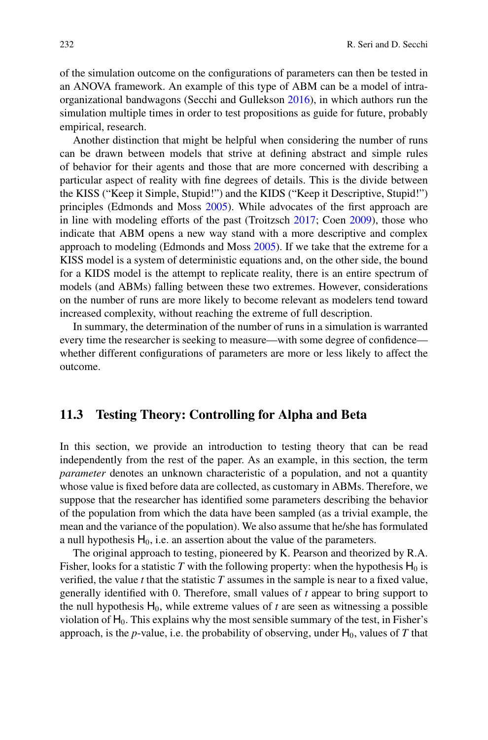of the simulation outcome on the configurations of parameters can then be tested in an ANOVA framework. An example of this type of ABM can be a model of intraorganizational bandwagons (Secchi and Gullekson [2016\)](#page-22-2), in which authors run the simulation multiple times in order to test propositions as guide for future, probably empirical, research.

Another distinction that might be helpful when considering the number of runs can be drawn between models that strive at defining abstract and simple rules of behavior for their agents and those that are more concerned with describing a particular aspect of reality with fine degrees of details. This is the divide between the KISS ("Keep it Simple, Stupid!") and the KIDS ("Keep it Descriptive, Stupid!") principles (Edmonds and Moss [2005\)](#page-20-8). While advocates of the first approach are in line with modeling efforts of the past (Troitzsch [2017;](#page-22-3) Coen [2009\)](#page-20-9), those who indicate that ABM opens a new way stand with a more descriptive and complex approach to modeling (Edmonds and Moss [2005\)](#page-20-8). If we take that the extreme for a KISS model is a system of deterministic equations and, on the other side, the bound for a KIDS model is the attempt to replicate reality, there is an entire spectrum of models (and ABMs) falling between these two extremes. However, considerations on the number of runs are more likely to become relevant as modelers tend toward increased complexity, without reaching the extreme of full description.

In summary, the determination of the number of runs in a simulation is warranted every time the researcher is seeking to measure—with some degree of confidence whether different configurations of parameters are more or less likely to affect the outcome.

### **11.3 Testing Theory: Controlling for Alpha and Beta**

In this section, we provide an introduction to testing theory that can be read independently from the rest of the paper. As an example, in this section, the term *parameter* denotes an unknown characteristic of a population, and not a quantity whose value is fixed before data are collected, as customary in ABMs. Therefore, we suppose that the researcher has identified some parameters describing the behavior of the population from which the data have been sampled (as a trivial example, the mean and the variance of the population). We also assume that he/she has formulated a null hypothesis  $H_0$ , i.e. an assertion about the value of the parameters.

The original approach to testing, pioneered by K. Pearson and theorized by R.A. Fisher, looks for a statistic *T* with the following property: when the hypothesis  $H_0$  is verified, the value *t* that the statistic *T* assumes in the sample is near to a fixed value, generally identified with 0. Therefore, small values of *t* appear to bring support to the null hypothesis  $H_0$ , while extreme values of  $t$  are seen as witnessing a possible violation of  $H_0$ . This explains why the most sensible summary of the test, in Fisher's approach, is the *p*-value, i.e. the probability of observing, under  $H_0$ , values of *T* that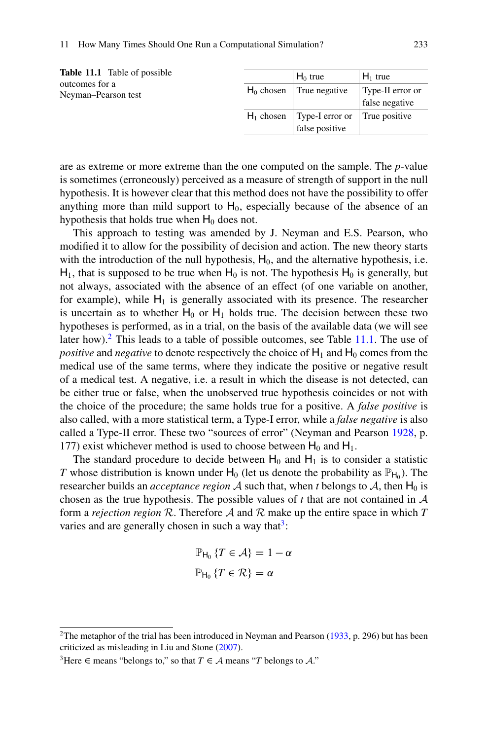<span id="page-4-1"></span>

| <b>Table 11.1</b> Table of possible<br>outcomes for a<br>Neyman-Pearson test |              | $H_0$ true                        | $H_1$ true                         |  |
|------------------------------------------------------------------------------|--------------|-----------------------------------|------------------------------------|--|
|                                                                              | $H_0$ chosen | True negative                     | Type-II error or<br>false negative |  |
|                                                                              | $H_1$ chosen | Type-I error or<br>false positive | True positive                      |  |

are as extreme or more extreme than the one computed on the sample. The *p*-value is sometimes (erroneously) perceived as a measure of strength of support in the null hypothesis. It is however clear that this method does not have the possibility to offer anything more than mild support to  $H_0$ , especially because of the absence of an hypothesis that holds true when  $H_0$  does not.

This approach to testing was amended by J. Neyman and E.S. Pearson, who modified it to allow for the possibility of decision and action. The new theory starts with the introduction of the null hypothesis,  $H_0$ , and the alternative hypothesis, i.e.  $H_1$ , that is supposed to be true when  $H_0$  is not. The hypothesis  $H_0$  is generally, but not always, associated with the absence of an effect (of one variable on another, for example), while  $H_1$  is generally associated with its presence. The researcher is uncertain as to whether  $H_0$  or  $H_1$  holds true. The decision between these two hypotheses is performed, as in a trial, on the basis of the available data (we will see later how).<sup>[2](#page-4-0)</sup> This leads to a table of possible outcomes, see Table [11.1.](#page-4-1) The use of *positive* and *negative* to denote respectively the choice of  $H_1$  and  $H_0$  comes from the medical use of the same terms, where they indicate the positive or negative result of a medical test. A negative, i.e. a result in which the disease is not detected, can be either true or false, when the unobserved true hypothesis coincides or not with the choice of the procedure; the same holds true for a positive. A *false positive* is also called, with a more statistical term, a Type-I error, while a *false negative* is also called a Type-II error. These two "sources of error" (Neyman and Pearson [1928,](#page-21-9) p. 177) exist whichever method is used to choose between  $H_0$  and  $H_1$ .

The standard procedure to decide between  $H_0$  and  $H_1$  is to consider a statistic *T* whose distribution is known under  $H_0$  (let us denote the probability as  $\mathbb{P}_{H_0}$ ). The researcher builds an *acceptance region*  $\mathcal A$  such that, when *t* belongs to  $\mathcal A$ , then  $H_0$  is chosen as the true hypothesis. The possible values of *t* that are not contained in *A* form a *rejection region R*. Therefore *A* and *R* make up the entire space in which *T* varies and are generally chosen in such a way that<sup>3</sup>:

$$
\mathbb{P}_{\mathsf{H}_0} \{ T \in \mathcal{A} \} = 1 - \alpha
$$
  

$$
\mathbb{P}_{\mathsf{H}_0} \{ T \in \mathcal{R} \} = \alpha
$$

<span id="page-4-0"></span><sup>&</sup>lt;sup>2</sup>The metaphor of the trial has been introduced in Neyman and Pearson [\(1933,](#page-21-10) p. 296) but has been criticized as misleading in Liu and Stone [\(2007\)](#page-21-11).

<span id="page-4-2"></span><sup>&</sup>lt;sup>3</sup>Here  $\in$  means "belongs to," so that  $T \in \mathcal{A}$  means "*T* belongs to  $\mathcal{A}$ ."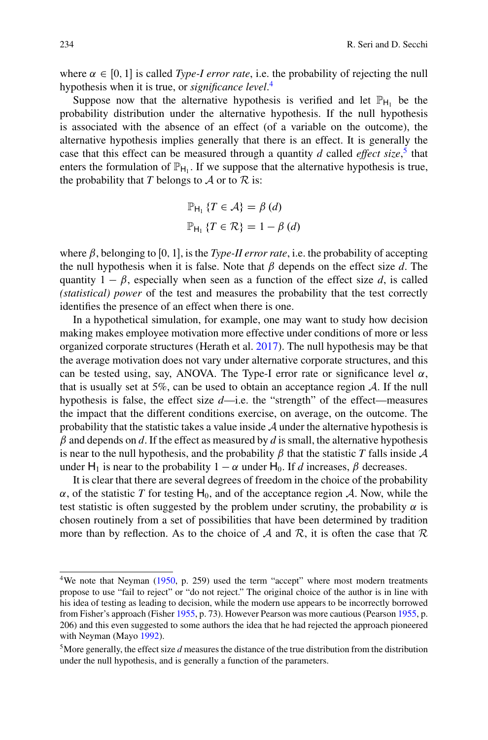where  $\alpha \in [0, 1]$  is called *Type-I error rate*, i.e. the probability of rejecting the null hypothesis when it is true, or *significance level*<sup>4</sup> hypothesis when it is true, or *significance level*. [4](#page-5-0)

Suppose now that the alternative hypothesis is verified and let  $\mathbb{P}_{H_1}$  be the probability distribution under the alternative hypothesis. If the null hypothesis is associated with the absence of an effect (of a variable on the outcome), the alternative hypothesis implies generally that there is an effect. It is generally the case that this effect can be measured through a quantity *d* called *effect size*, [5](#page-5-1) that enters the formulation of  $\mathbb{P}_{H_1}$ . If we suppose that the alternative hypothesis is true, the probability that *T* belongs to *A* or to  $\mathcal R$  is:

$$
\mathbb{P}_{\mathsf{H}_1} \{ T \in \mathcal{A} \} = \beta \left( d \right)
$$

$$
\mathbb{P}_{\mathsf{H}_1} \{ T \in \mathcal{R} \} = 1 - \beta \left( d \right)
$$

where  $\beta$ , belonging to [0, 1], is the *Type-II error rate*, i.e. the probability of accepting the null hypothesis when it is false. Note that  $\beta$  depends on the effect size d. The quantity  $1 - \beta$ , especially when seen as a function of the effect size *d*, is called (statistical) power of the test and measures the probability that the test correctly *(statistical) power* of the test and measures the probability that the test correctly identifies the presence of an effect when there is one.

In a hypothetical simulation, for example, one may want to study how decision making makes employee motivation more effective under conditions of more or less organized corporate structures (Herath et al. [2017\)](#page-21-12). The null hypothesis may be that the average motivation does not vary under alternative corporate structures, and this can be tested using, say, ANOVA. The Type-I error rate or significance level  $\alpha$ , that is usually set at 5%, can be used to obtain an acceptance region *A*. If the null hypothesis is false, the effect size *d*—i.e. the "strength" of the effect—measures the impact that the different conditions exercise, on average, on the outcome. The probability that the statistic takes a value inside *A* under the alternative hypothesis is  $\beta$  and depends on *d*. If the effect as measured by *d* is small, the alternative hypothesis is near to the null hypothesis, and the probability  $\beta$  that the statistic *T* falls inside  $\mathcal A$ under H<sub>1</sub> is near to the probability  $1 - \alpha$  under H<sub>0</sub>. If *d* increases,  $\beta$  decreases.<br>It is clear that there are several degrees of freedom in the choice of the probability

It is clear that there are several degrees of freedom in the choice of the probability  $\alpha$ , of the statistic *T* for testing  $H_0$ , and of the acceptance region *A*. Now, while the test statistic is often suggested by the problem under scrutiny, the probability  $\alpha$  is chosen routinely from a set of possibilities that have been determined by tradition more than by reflection. As to the choice of  $A$  and  $R$ , it is often the case that  $R$ 

<span id="page-5-0"></span><sup>4</sup>We note that Neyman [\(1950,](#page-21-13) p. 259) used the term "accept" where most modern treatments propose to use "fail to reject" or "do not reject." The original choice of the author is in line with his idea of testing as leading to decision, while the modern use appears to be incorrectly borrowed from Fisher's approach (Fisher [1955,](#page-20-10) p. 73). However Pearson was more cautious (Pearson [1955,](#page-21-14) p. 206) and this even suggested to some authors the idea that he had rejected the approach pioneered with Neyman (Mayo [1992\)](#page-21-15).

<span id="page-5-1"></span><sup>5</sup>More generally, the effect size *d* measures the distance of the true distribution from the distribution under the null hypothesis, and is generally a function of the parameters.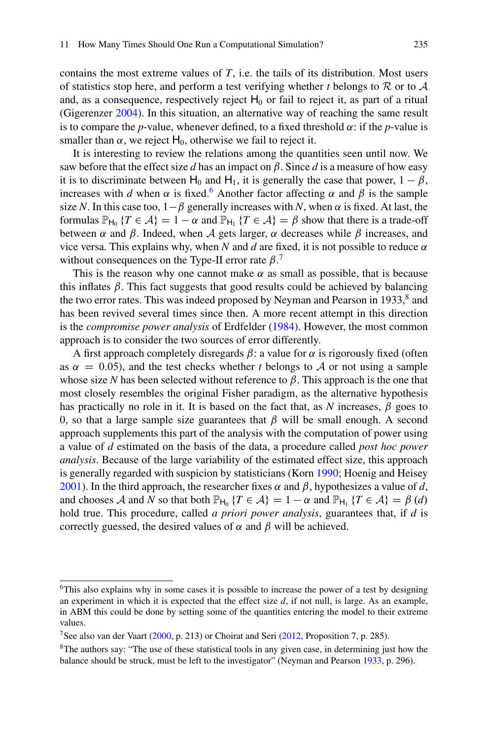contains the most extreme values of *T*, i.e. the tails of its distribution. Most users of statistics stop here, and perform a test verifying whether *t* belongs to  $R$  or to  $A$ and, as a consequence, respectively reject  $H_0$  or fail to reject it, as part of a ritual (Gigerenzer [2004\)](#page-20-11). In this situation, an alternative way of reaching the same result is to compare the *p*-value, whenever defined, to a fixed threshold  $\alpha$ : if the *p*-value is smaller than  $\alpha$ , we reject  $H_0$ , otherwise we fail to reject it.

It is interesting to review the relations among the quantities seen until now. We saw before that the effect size *d* has an impact on  $\beta$ . Since *d* is a measure of how easy it is to discriminate between H<sub>0</sub> and H<sub>1</sub>, it is generally the case that power,  $1 - \beta$ ,<br>increases with d when  $\alpha$  is fixed <sup>6</sup> Another factor affecting  $\alpha$  and  $\beta$  is the sample increases with *d* when  $\alpha$  is fixed.<sup>6</sup> Another factor affecting  $\alpha$  and  $\beta$  is the sample size *N*. In this case too,  $1-\beta$  generally increases with *N*, when  $\alpha$  is fixed. At last, the formulas  $\mathbb{P}_{1}$ ,  $\{T \in \Lambda\} = 1 - \alpha$  and  $\mathbb{P}_{1}$ ,  $\{T \in \Lambda\} = \beta$  show that there is a trade-off formulas  $\mathbb{P}_{H_0} \{ T \in \mathcal{A} \} = 1 - \alpha$  and  $\mathbb{P}_{H_1} \{ T \in \mathcal{A} \} = \beta$  show that there is a trade-off between  $\alpha$  and  $\beta$ . Indeed, when A gets larger  $\alpha$  decreases while  $\beta$  increases, and between  $\alpha$  and  $\beta$ . Indeed, when A gets larger,  $\alpha$  decreases while  $\beta$  increases, and vice versa. This explains why, when  $N$  and  $d$  are fixed, it is not possible to reduce  $\alpha$ without consequences on the Type-II error rate  $\beta$ .

This is the reason why one cannot make  $\alpha$  as small as possible, that is because this inflates  $\beta$ . This fact suggests that good results could be achieved by balancing the two error rates. This was indeed proposed by Neyman and Pearson in 1933, $\frac{8}{3}$  and has been revived several times since then. A more recent attempt in this direction is the *compromise power analysis* of Erdfelder [\(1984\)](#page-20-12). However, the most common approach is to consider the two sources of error differently.

A first approach completely disregards  $\beta$ : a value for  $\alpha$  is rigorously fixed (often as  $\alpha = 0.05$ ), and the test checks whether *t* belongs to *A* or not using a sample whose size N has been selected without reference to  $\beta$ . This approach is the one that most closely resembles the original Fisher paradigm, as the alternative hypothesis has practically no role in it. It is based on the fact that, as N increases,  $\beta$  goes to 0, so that a large sample size guarantees that  $\beta$  will be small enough. A second approach supplements this part of the analysis with the computation of power using a value of *d* estimated on the basis of the data, a procedure called *post hoc power analysis*. Because of the large variability of the estimated effect size, this approach is generally regarded with suspicion by statisticians (Korn [1990;](#page-21-16) Hoenig and Heisey [2001\)](#page-21-17). In the third approach, the researcher fixes  $\alpha$  and  $\beta$ , hypothesizes a value of d, and chooses *A* and *N* so that both  $\mathbb{P}_{H_0} \{T \in \mathcal{A}\} = 1 - \alpha$  and  $\mathbb{P}_{H_1} \{T \in \mathcal{A}\} = \beta$  (*d*) hold true. This procedure, called *a priori power analysis*, guarantees that if *d* is hold true. This procedure, called *a priori power analysis*, guarantees that, if *d* is correctly guessed, the desired values of  $\alpha$  and  $\beta$  will be achieved.

<span id="page-6-0"></span><sup>6</sup>This also explains why in some cases it is possible to increase the power of a test by designing an experiment in which it is expected that the effect size *d*, if not null, is large. As an example, in ABM this could be done by setting some of the quantities entering the model to their extreme values.

<span id="page-6-1"></span><sup>&</sup>lt;sup>7</sup>See also van der Vaart [\(2000,](#page-22-4) p. 213) or Choirat and Seri [\(2012,](#page-20-13) Proposition 7, p. 285).

<span id="page-6-2"></span><sup>8</sup>The authors say: "The use of these statistical tools in any given case, in determining just how the balance should be struck, must be left to the investigator" (Neyman and Pearson [1933,](#page-21-10) p. 296).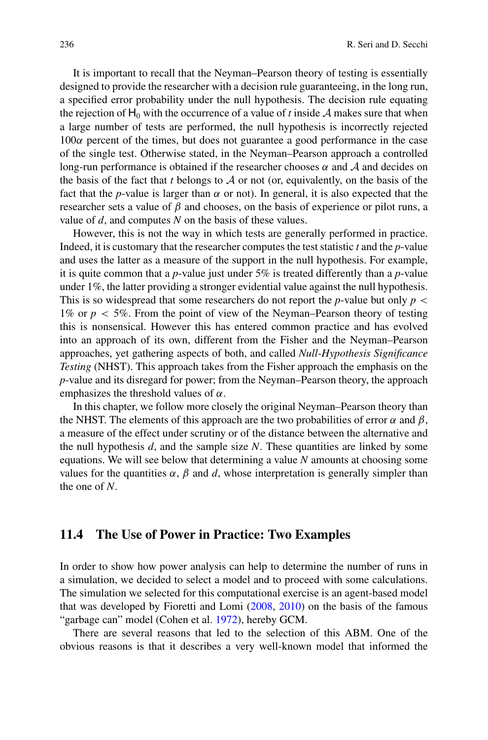It is important to recall that the Neyman–Pearson theory of testing is essentially designed to provide the researcher with a decision rule guaranteeing, in the long run, a specified error probability under the null hypothesis. The decision rule equating the rejection of  $H_0$  with the occurrence of a value of t inside A makes sure that when a large number of tests are performed, the null hypothesis is incorrectly rejected  $100\alpha$  percent of the times, but does not guarantee a good performance in the case of the single test. Otherwise stated, in the Neyman–Pearson approach a controlled long-run performance is obtained if the researcher chooses  $\alpha$  and  $\beta$  and decides on the basis of the fact that  $t$  belongs to  $A$  or not (or, equivalently, on the basis of the fact that the *p*-value is larger than  $\alpha$  or not). In general, it is also expected that the researcher sets a value of  $\beta$  and chooses, on the basis of experience or pilot runs, a value of *d*, and computes *N* on the basis of these values.

However, this is not the way in which tests are generally performed in practice. Indeed, it is customary that the researcher computes the test statistic *t* and the *p*-value and uses the latter as a measure of the support in the null hypothesis. For example, it is quite common that a *p*-value just under 5% is treated differently than a *p*-value under 1%, the latter providing a stronger evidential value against the null hypothesis. This is so widespread that some researchers do not report the *p*-value but only  $p <$ 1% or  $p < 5\%$ . From the point of view of the Neyman–Pearson theory of testing this is nonsensical. However this has entered common practice and has evolved into an approach of its own, different from the Fisher and the Neyman–Pearson approaches, yet gathering aspects of both, and called *Null-Hypothesis Significance Testing* (NHST). This approach takes from the Fisher approach the emphasis on the *p*-value and its disregard for power; from the Neyman–Pearson theory, the approach emphasizes the threshold values of  $\alpha$ .

In this chapter, we follow more closely the original Neyman–Pearson theory than the NHST. The elements of this approach are the two probabilities of error  $\alpha$  and  $\beta$ , a measure of the effect under scrutiny or of the distance between the alternative and the null hypothesis *d*, and the sample size *N*. These quantities are linked by some equations. We will see below that determining a value *N* amounts at choosing some values for the quantities  $\alpha$ ,  $\beta$  and  $d$ , whose interpretation is generally simpler than the one of *N*.

### **11.4 The Use of Power in Practice: Two Examples**

In order to show how power analysis can help to determine the number of runs in a simulation, we decided to select a model and to proceed with some calculations. The simulation we selected for this computational exercise is an agent-based model that was developed by Fioretti and Lomi [\(2008,](#page-20-14) [2010\)](#page-20-15) on the basis of the famous "garbage can" model (Cohen et al. [1972\)](#page-20-16), hereby GCM.

There are several reasons that led to the selection of this ABM. One of the obvious reasons is that it describes a very well-known model that informed the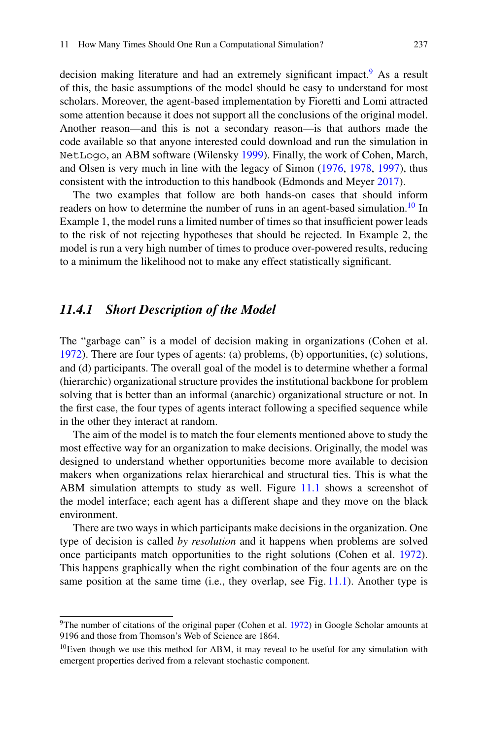decision making literature and had an extremely significant impact.<sup>[9](#page-8-0)</sup> As a result of this, the basic assumptions of the model should be easy to understand for most scholars. Moreover, the agent-based implementation by Fioretti and Lomi attracted some attention because it does not support all the conclusions of the original model. Another reason—and this is not a secondary reason—is that authors made the code available so that anyone interested could download and run the simulation in NetLogo, an ABM software (Wilensky [1999\)](#page-22-5). Finally, the work of Cohen, March, and Olsen is very much in line with the legacy of Simon [\(1976,](#page-22-6) [1978,](#page-22-7) [1997\)](#page-22-8), thus consistent with the introduction to this handbook (Edmonds and Meyer [2017\)](#page-20-17).

The two examples that follow are both hands-on cases that should inform readers on how to determine the number of runs in an agent-based simulation.<sup>[10](#page-8-1)</sup> In Example 1, the model runs a limited number of times so that insufficient power leads to the risk of not rejecting hypotheses that should be rejected. In Example 2, the model is run a very high number of times to produce over-powered results, reducing to a minimum the likelihood not to make any effect statistically significant.

### *11.4.1 Short Description of the Model*

The "garbage can" is a model of decision making in organizations (Cohen et al. [1972\)](#page-20-16). There are four types of agents: (a) problems, (b) opportunities, (c) solutions, and (d) participants. The overall goal of the model is to determine whether a formal (hierarchic) organizational structure provides the institutional backbone for problem solving that is better than an informal (anarchic) organizational structure or not. In the first case, the four types of agents interact following a specified sequence while in the other they interact at random.

The aim of the model is to match the four elements mentioned above to study the most effective way for an organization to make decisions. Originally, the model was designed to understand whether opportunities become more available to decision makers when organizations relax hierarchical and structural ties. This is what the ABM simulation attempts to study as well. Figure [11.1](#page-9-0) shows a screenshot of the model interface; each agent has a different shape and they move on the black environment.

There are two ways in which participants make decisions in the organization. One type of decision is called *by resolution* and it happens when problems are solved once participants match opportunities to the right solutions (Cohen et al. [1972\)](#page-20-16). This happens graphically when the right combination of the four agents are on the same position at the same time (i.e., they overlap, see Fig. [11.1\)](#page-9-0). Another type is

<span id="page-8-0"></span><sup>&</sup>lt;sup>9</sup>The number of citations of the original paper (Cohen et al. [1972\)](#page-20-16) in Google Scholar amounts at 9196 and those from Thomson's Web of Science are 1864.

<span id="page-8-1"></span><sup>&</sup>lt;sup>10</sup>Even though we use this method for ABM, it may reveal to be useful for any simulation with emergent properties derived from a relevant stochastic component.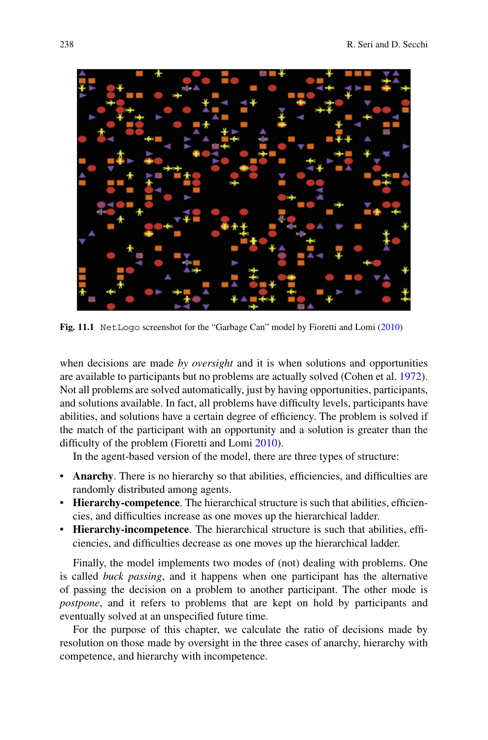

**Fig. 11.1** NetLogo screenshot for the "Garbage Can" model by Fioretti and Lomi [\(2010\)](#page-20-15)

<span id="page-9-0"></span>when decisions are made *by oversight* and it is when solutions and opportunities are available to participants but no problems are actually solved (Cohen et al. [1972\)](#page-20-16). Not all problems are solved automatically, just by having opportunities, participants, and solutions available. In fact, all problems have difficulty levels, participants have abilities, and solutions have a certain degree of efficiency. The problem is solved if the match of the participant with an opportunity and a solution is greater than the difficulty of the problem (Fioretti and Lomi [2010\)](#page-20-15).

In the agent-based version of the model, there are three types of structure:

- **Anarchy**. There is no hierarchy so that abilities, efficiencies, and difficulties are randomly distributed among agents.
- **Hierarchy-competence**. The hierarchical structure is such that abilities, efficiencies, and difficulties increase as one moves up the hierarchical ladder.
- **Hierarchy-incompetence**. The hierarchical structure is such that abilities, efficiencies, and difficulties decrease as one moves up the hierarchical ladder.

Finally, the model implements two modes of (not) dealing with problems. One is called *buck passing*, and it happens when one participant has the alternative of passing the decision on a problem to another participant. The other mode is *postpone*, and it refers to problems that are kept on hold by participants and eventually solved at an unspecified future time.

For the purpose of this chapter, we calculate the ratio of decisions made by resolution on those made by oversight in the three cases of anarchy, hierarchy with competence, and hierarchy with incompetence.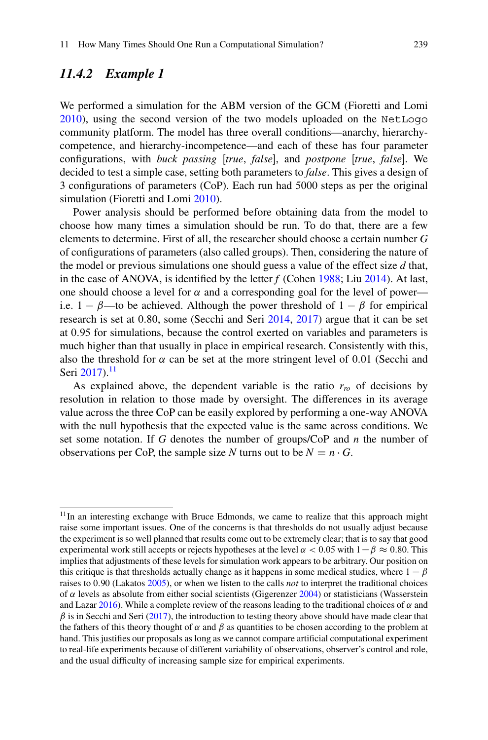### *11.4.2 Example 1*

We performed a simulation for the ABM version of the GCM (Fioretti and Lomi  $2010$ ), using the second version of the two models uploaded on the NetLogo community platform. The model has three overall conditions—anarchy, hierarchycompetence, and hierarchy-incompetence—and each of these has four parameter configurations, with *buck passing* [true, false], and *postpone* [true, false]. We decided to test a simple case, setting both parameters to *false*. This gives a design of 3 configurations of parameters (CoP). Each run had 5000 steps as per the original simulation (Fioretti and Lomi [2010\)](#page-20-15).

Power analysis should be performed before obtaining data from the model to choose how many times a simulation should be run. To do that, there are a few elements to determine. First of all, the researcher should choose a certain number *G* of configurations of parameters (also called groups). Then, considering the nature of the model or previous simulations one should guess a value of the effect size *d* that, in the case of ANOVA, is identified by the letter *f* (Cohen [1988;](#page-20-0) Liu [2014\)](#page-21-3). At last, one should choose a level for  $\alpha$  and a corresponding goal for the level of power i.e.  $1 - \beta$ —to be achieved. Although the power threshold of  $1 - \beta$  for empirical research is set at 0.80, some (Secchi and Seri 2014, 2017) argue that it can be set research is set at 0:80, some (Secchi and Seri [2014,](#page-22-9) [2017\)](#page-22-10) argue that it can be set at 0:95 for simulations, because the control exerted on variables and parameters is much higher than that usually in place in empirical research. Consistently with this, also the threshold for  $\alpha$  can be set at the more stringent level of 0.01 (Secchi and Seri [2017\)](#page-22-10).<sup>[11](#page-10-0)</sup>

As explained above, the dependent variable is the ratio  $r<sub>m</sub>$  of decisions by resolution in relation to those made by oversight. The differences in its average value across the three CoP can be easily explored by performing a one-way ANOVA with the null hypothesis that the expected value is the same across conditions. We set some notation. If *G* denotes the number of groups/CoP and *n* the number of observations per CoP, the sample size *N* turns out to be  $N = n \cdot G$ .

<span id="page-10-0"></span><sup>&</sup>lt;sup>11</sup>In an interesting exchange with Bruce Edmonds, we came to realize that this approach might raise some important issues. One of the concerns is that thresholds do not usually adjust because the experiment is so well planned that results come out to be extremely clear; that is to say that good experimental work still accepts or rejects hypotheses at the level  $\alpha < 0.05$  with  $1 - \beta \approx 0.80$ . This implies that adjustments of these levels for simulation work appears to be arbitrary. Our position on this critique is that thresholds actually change as it happens in some medical studies, where  $1 - \beta$ raises to 0:90 (Lakatos [2005\)](#page-21-18), or when we listen to the calls *not* to interpret the traditional choices of  $\alpha$  levels as absolute from either social scientists (Gigerenzer [2004\)](#page-20-11) or statisticians (Wasserstein and Lazar [2016\)](#page-22-11). While a complete review of the reasons leading to the traditional choices of  $\alpha$  and  $\beta$  is in Secchi and Seri [\(2017\)](#page-22-10), the introduction to testing theory above should have made clear that the fathers of this theory thought of  $\alpha$  and  $\beta$  as quantities to be chosen according to the problem at hand. This justifies our proposals as long as we cannot compare artificial computational experiment to real-life experiments because of different variability of observations, observer's control and role, and the usual difficulty of increasing sample size for empirical experiments.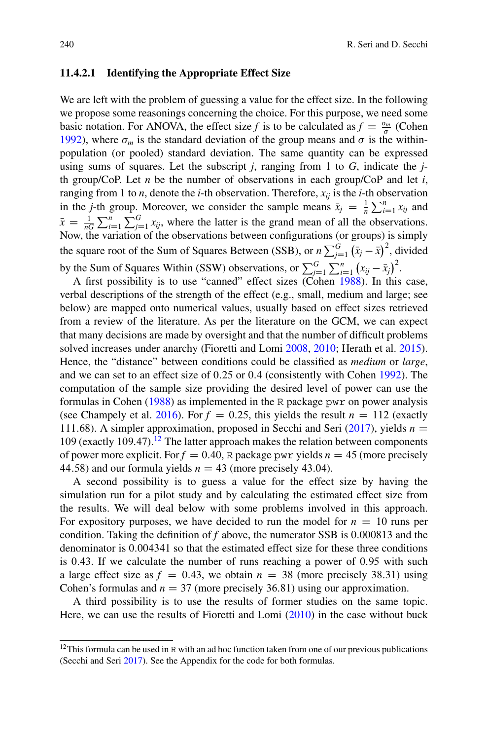#### **11.4.2.1 Identifying the Appropriate Effect Size**

We are left with the problem of guessing a value for the effect size. In the following we propose some reasonings concerning the choice. For this purpose, we need some basic notation. For ANOVA, the effect size *f* is to be calculated as  $f = \frac{\sigma_m}{\sigma}$  (Cohen 1992) where  $\sigma_m$  is the standard deviation of the group means and  $\sigma$  is the within-[1992\)](#page-20-18), where  $\sigma_m$  is the standard deviation of the group means and  $\sigma$  is the withinpopulation (or pooled) standard deviation. The same quantity can be expressed using sums of squares. Let the subscript *i*, ranging from 1 to  $G$ , indicate the *j*th group/CoP. Let *n* be the number of observations in each group/CoP and let *i*, ranging from 1 to *n*, denote the *i*-th observation. Therefore,  $x_{ii}$  is the *i*-th observation in the *j*-th group. Moreover, we consider the sample means  $\bar{x}_j = \frac{1}{n} \sum_{i=1}^n x_{ij}$  and  $\bar{x}_j = 1$   $\sum_{i=1}^n X_{ij}$  and  $\bar{x} = \frac{1}{nG} \sum_{i=1}^{n} \sum_{j=1}^{G} x_{ij}$ , where the latter is the grand mean of all the observations.<br>Now the variation of the observations between configurations (or groups) is simply Now, the variation of the observations between configurations (or groups) is simply the square root of the Sum of Squares Between (SSB), or  $n \sum_{j=1}^{G} (\bar{x}_j - \bar{x})^2$ , divided by the Sum of Squares Within (SSW) observations, or  $\sum_{j=1}^{G} \sum_{i=1}^{n} (x_{ij} - \bar{x}_j)^2$ .<br>A first possibility is to use "canned" effect sizes (Coben 1988) In this

A first possibility is to use "canned" effect sizes (Cohen [1988\)](#page-20-0). In this case, verbal descriptions of the strength of the effect (e.g., small, medium and large; see below) are mapped onto numerical values, usually based on effect sizes retrieved from a review of the literature. As per the literature on the GCM, we can expect that many decisions are made by oversight and that the number of difficult problems solved increases under anarchy (Fioretti and Lomi [2008,](#page-20-14) [2010;](#page-20-15) Herath et al. [2015\)](#page-20-19). Hence, the "distance" between conditions could be classified as *medium* or *large*, and we can set to an effect size of 0:25 or 0:4 (consistently with Cohen [1992\)](#page-20-18). The computation of the sample size providing the desired level of power can use the formulas in Cohen [\(1988\)](#page-20-0) as implemented in the R package pwr on power analysis (see Champely et al. [2016\)](#page-20-20). For  $f = 0.25$ , this yields the result  $n = 112$  (exactly 111.68). A simpler approximation, proposed in Secchi and Seri  $(2017)$ , yields  $n =$ 109 (exactly 109.47).<sup>12</sup> The latter approach makes the relation between components of power more explicit. For  $f = 0.40$ , R package pwr yields  $n = 45$  (more precisely 44.58) and our formula yields  $n = 43$  (more precisely 43.04).

A second possibility is to guess a value for the effect size by having the simulation run for a pilot study and by calculating the estimated effect size from the results. We will deal below with some problems involved in this approach. For expository purposes, we have decided to run the model for  $n = 10$  runs per condition. Taking the definition of *f* above, the numerator SSB is 0:000813 and the denominator is 0:004341 so that the estimated effect size for these three conditions is 0.43. If we calculate the number of runs reaching a power of  $0.95$  with such a large effect size as  $f = 0.43$ , we obtain  $n = 38$  (more precisely 38.31) using Cohen's formulas and  $n = 37$  (more precisely 36.81) using our approximation.

A third possibility is to use the results of former studies on the same topic. Here, we can use the results of Fioretti and Lomi [\(2010\)](#page-20-15) in the case without buck

<span id="page-11-0"></span> $12$ This formula can be used in R with an ad hoc function taken from one of our previous publications (Secchi and Seri [2017\)](#page-22-10). See the Appendix for the code for both formulas.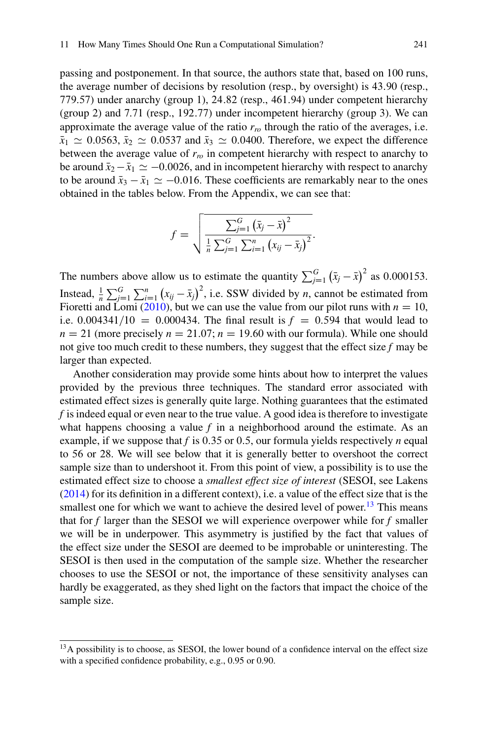passing and postponement. In that source, the authors state that, based on 100 runs, the average number of decisions by resolution (resp., by oversight) is 43:90 (resp., 779:57) under anarchy (group 1), 24:82 (resp., 461:94) under competent hierarchy (group 2) and 7:71 (resp., 192:77) under incompetent hierarchy (group 3). We can approximate the average value of the ratio  $r<sub>m</sub>$  through the ratio of the averages, i.e.  $\bar{x}_1 \simeq 0.0563$ ,  $\bar{x}_2 \simeq 0.0537$  and  $\bar{x}_3 \simeq 0.0400$ . Therefore, we expect the difference between the average value of  $r_m$  in competent hierarchy with respect to anarchy to be around  $\bar{x}_2 - \bar{x}_1 \simeq -0.0026$ , and in incompetent hierarchy with respect to anarchy<br>to be around  $\bar{x}_2 - \bar{x}_1 \simeq -0.016$ . These coefficients are remarkably near to the ones to be around  $\bar{x}_3 - \bar{x}_1 \simeq -0.016$ . These coefficients are remarkably near to the ones<br>obtained in the tables below. From the Appendix, we can see that: obtained in the tables below. From the Appendix, we can see that:

$$
f = \sqrt{\frac{\sum_{j=1}^{G} (\bar{x}_j - \bar{x})^2}{\frac{1}{n} \sum_{j=1}^{G} \sum_{i=1}^{n} (x_{ij} - \bar{x}_j)^2}}.
$$

The numbers above allow us to estimate the quantity  $\sum_{j=1}^{G} (\bar{x}_j - \bar{x})^2$  as 0.000153. Instead,  $\frac{1}{n} \sum_{j=1}^{G} \sum_{i=1}^{n} (x_{ij} - \bar{x}_j)^2$ , i.e. SSW divided by *n*, cannot be estimated from<br>Fioretti and Lomi (2010) but we can use the value from our pilot runs with *n* = 10 Fioretti and Lomi [\(2010\)](#page-20-15), but we can use the value from our pilot runs with  $n = 10$ , i.e. 0.004341/10,  $= 0.000434$ . The final result is  $f = 0.594$  that would lead to i.e. 0.004341/10 = 0.000434. The final result is  $f = 0.594$  that would lead to  $n = 21$  (more precisely  $n = 21.07$ ;  $n = 19.60$  with our formula). While one should not give too much credit to these numbers, they suggest that the effect size *f* may be larger than expected.

Another consideration may provide some hints about how to interpret the values provided by the previous three techniques. The standard error associated with estimated effect sizes is generally quite large. Nothing guarantees that the estimated *f* is indeed equal or even near to the true value. A good idea is therefore to investigate what happens choosing a value  $f$  in a neighborhood around the estimate. As an example, if we suppose that *f* is 0.35 or 0.5, our formula yields respectively *n* equal to 56 or 28. We will see below that it is generally better to overshoot the correct sample size than to undershoot it. From this point of view, a possibility is to use the estimated effect size to choose a *smallest effect size of interest* (SESOI, see Lakens [\(2014\)](#page-21-19) for its definition in a different context), i.e. a value of the effect size that is the smallest one for which we want to achieve the desired level of power.<sup>13</sup> This means that for *f* larger than the SESOI we will experience overpower while for *f* smaller we will be in underpower. This asymmetry is justified by the fact that values of the effect size under the SESOI are deemed to be improbable or uninteresting. The SESOI is then used in the computation of the sample size. Whether the researcher chooses to use the SESOI or not, the importance of these sensitivity analyses can hardly be exaggerated, as they shed light on the factors that impact the choice of the sample size.

<span id="page-12-0"></span><sup>&</sup>lt;sup>13</sup>A possibility is to choose, as SESOI, the lower bound of a confidence interval on the effect size with a specified confidence probability, e.g., 0.95 or 0.90.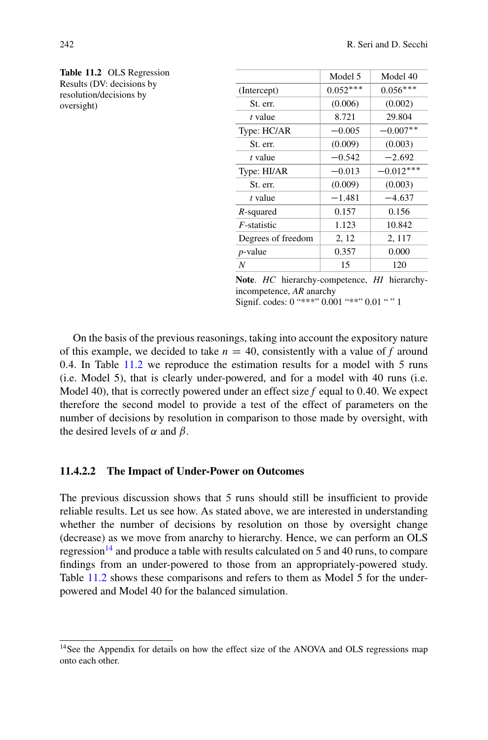<span id="page-13-0"></span>**Table 11.2** OLS Regression Results (DV: decisions by resolution/decisions by oversight)

|                     | Model 5    | Model 40    |
|---------------------|------------|-------------|
| (Intercept)         | $0.052***$ | $0.056***$  |
| St. err.            | (0.006)    | (0.002)     |
| t value             | 8.721      | 29.804      |
| Type: HC/AR         | $-0.005$   | $-0.007**$  |
| St. err.            | (0.009)    | (0.003)     |
| $t$ value           | $-0.542$   | $-2.692$    |
| Type: HI/AR         | $-0.013$   | $-0.012***$ |
| St. err.            | (0.009)    | (0.003)     |
| t value             | $-1.481$   | $-4.637$    |
| $R$ -squared        | 0.157      | 0.156       |
| <i>F</i> -statistic | 1.123      | 10.842      |
| Degrees of freedom  | 2, 12      | 2, 117      |
| $p$ -value          | 0.357      | 0.000       |
| N                   | 15         | 120         |
|                     |            |             |

**Note**. *HC* hierarchy-competence, *HI* hierarchyincompetence, *AR* anarchy Signif. codes: 0 "\*\*\*" 0.001 "\*\*" 0.01 " " 1

On the basis of the previous reasonings, taking into account the expository nature of this example, we decided to take  $n = 40$ , consistently with a value of f around 0:4. In Table [11.2](#page-13-0) we reproduce the estimation results for a model with 5 runs (i.e. Model 5), that is clearly under-powered, and for a model with 40 runs (i.e. Model 40), that is correctly powered under an effect size f equal to 0.40. We expect therefore the second model to provide a test of the effect of parameters on the number of decisions by resolution in comparison to those made by oversight, with the desired levels of  $\alpha$  and  $\beta$ .

#### **11.4.2.2 The Impact of Under-Power on Outcomes**

The previous discussion shows that 5 runs should still be insufficient to provide reliable results. Let us see how. As stated above, we are interested in understanding whether the number of decisions by resolution on those by oversight change (decrease) as we move from anarchy to hierarchy. Hence, we can perform an OLS regression<sup>14</sup> and produce a table with results calculated on 5 and 40 runs, to compare findings from an under-powered to those from an appropriately-powered study. Table [11.2](#page-13-0) shows these comparisons and refers to them as Model 5 for the underpowered and Model 40 for the balanced simulation.

<span id="page-13-1"></span><sup>&</sup>lt;sup>14</sup>See the Appendix for details on how the effect size of the ANOVA and OLS regressions map onto each other.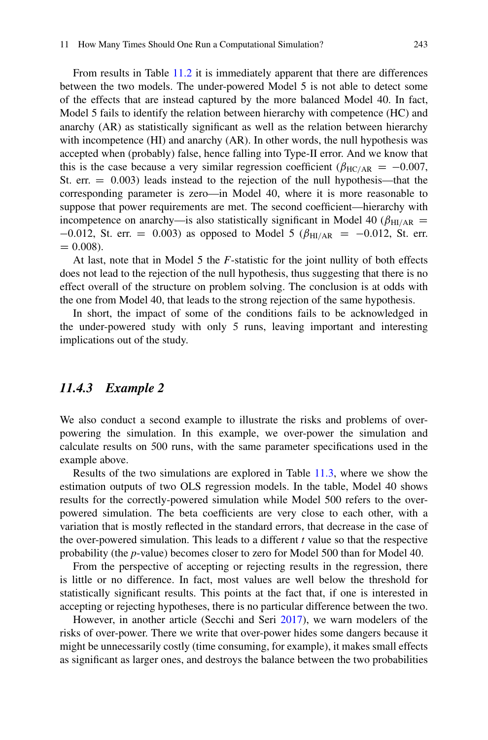From results in Table [11.2](#page-13-0) it is immediately apparent that there are differences between the two models. The under-powered Model 5 is not able to detect some of the effects that are instead captured by the more balanced Model 40. In fact, Model 5 fails to identify the relation between hierarchy with competence (HC) and anarchy (AR) as statistically significant as well as the relation between hierarchy with incompetence (HI) and anarchy (AR). In other words, the null hypothesis was accepted when (probably) false, hence falling into Type-II error. And we know that this is the case because a very similar regression coefficient  $(\beta_{HC/AR} = -0.007,$ <br>St err = 0.003) leads instead to the rejection of the null hypothesis—that the St. err.  $= 0.003$ ) leads instead to the rejection of the null hypothesis—that the corresponding parameter is zero—in Model 40, where it is more reasonable to suppose that power requirements are met. The second coefficient—hierarchy with incompetence on anarchy—is also statistically significant in Model 40 ( $\beta_{\text{HI/AR}}$  =  $= 0.008$ .<br>At last 0.012, St. err. = 0.003) as opposed to Model 5 ( $\beta_{\text{HI/AR}}$  = -0.012, St. err.

At last, note that in Model 5 the *F*-statistic for the joint nullity of both effects does not lead to the rejection of the null hypothesis, thus suggesting that there is no effect overall of the structure on problem solving. The conclusion is at odds with the one from Model 40, that leads to the strong rejection of the same hypothesis.

In short, the impact of some of the conditions fails to be acknowledged in the under-powered study with only 5 runs, leaving important and interesting implications out of the study.

### *11.4.3 Example 2*

We also conduct a second example to illustrate the risks and problems of overpowering the simulation. In this example, we over-power the simulation and calculate results on 500 runs, with the same parameter specifications used in the example above.

Results of the two simulations are explored in Table [11.3,](#page-15-0) where we show the estimation outputs of two OLS regression models. In the table, Model 40 shows results for the correctly-powered simulation while Model 500 refers to the overpowered simulation. The beta coefficients are very close to each other, with a variation that is mostly reflected in the standard errors, that decrease in the case of the over-powered simulation. This leads to a different *t* value so that the respective probability (the *p*-value) becomes closer to zero for Model 500 than for Model 40.

From the perspective of accepting or rejecting results in the regression, there is little or no difference. In fact, most values are well below the threshold for statistically significant results. This points at the fact that, if one is interested in accepting or rejecting hypotheses, there is no particular difference between the two.

However, in another article (Secchi and Seri [2017\)](#page-22-10), we warn modelers of the risks of over-power. There we write that over-power hides some dangers because it might be unnecessarily costly (time consuming, for example), it makes small effects as significant as larger ones, and destroys the balance between the two probabilities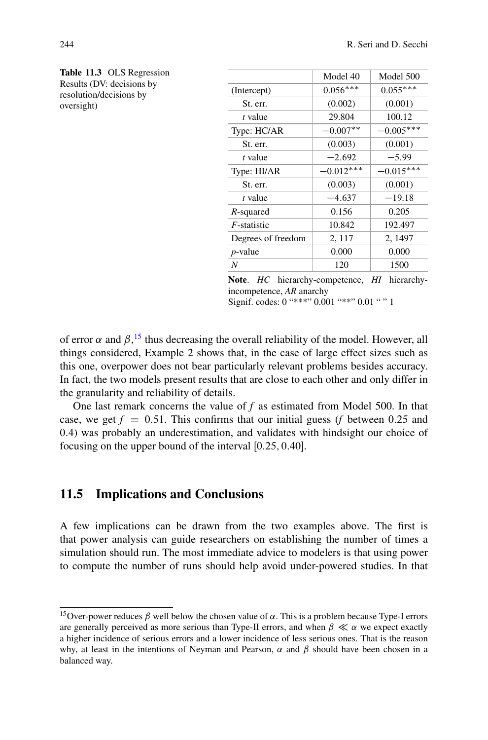<span id="page-15-0"></span>**Table 11.3** OLS Regression Results (DV: decisions by resolution/decisions by oversight)

|                    | Model 40    | Model 500   |
|--------------------|-------------|-------------|
| (Intercept)        | $0.056***$  | $0.055***$  |
| St. err.           | (0.002)     | (0.001)     |
| t value            | 29.804      | 100.12      |
| Type: HC/AR        | $-0.007**$  | $-0.005***$ |
| St. err.           | (0.003)     | (0.001)     |
| t value            | $-2.692$    | $-5.99$     |
| Type: HI/AR        | $-0.012***$ | $-0.015***$ |
| St. err.           | (0.003)     | (0.001)     |
| t value            | $-4.637$    | $-19.18$    |
| $R$ -squared       | 0.156       | 0.205       |
| $F$ -statistic     | 10.842      | 192.497     |
| Degrees of freedom | 2, 117      | 2, 1497     |
| $p$ -value         | 0.000       | 0.000       |
| N                  | 120         | 1500        |
|                    |             |             |

**Note**. *HC* hierarchy-competence, *HI* hierarchyincompetence, *AR* anarchy Signif. codes: 0 "\*\*\*" 0.001 "\*\*" 0.01 " " 1

of error  $\alpha$  and  $\beta$ ,<sup>[15](#page-15-1)</sup>, thus decreasing the overall reliability of the model. However, all things considered, Example 2 shows that, in the case of large effect sizes such as this one, overpower does not bear particularly relevant problems besides accuracy. In fact, the two models present results that are close to each other and only differ in the granularity and reliability of details.

One last remark concerns the value of *f* as estimated from Model 500. In that case, we get  $f = 0.51$ . This confirms that our initial guess (*f* between 0.25 and 0:4) was probably an underestimation, and validates with hindsight our choice of focusing on the upper bound of the interval  $[0.25, 0.40]$ .

### **11.5 Implications and Conclusions**

A few implications can be drawn from the two examples above. The first is that power analysis can guide researchers on establishing the number of times a simulation should run. The most immediate advice to modelers is that using power to compute the number of runs should help avoid under-powered studies. In that

<span id="page-15-1"></span><sup>&</sup>lt;sup>15</sup>Over-power reduces  $\beta$  well below the chosen value of  $\alpha$ . This is a problem because Type-I errors are generally perceived as more serious than Type-II errors, and when  $\beta \ll \alpha$  we expect exactly a higher incidence of serious errors and a lower incidence of less serious ones. That is the reason why, at least in the intentions of Neyman and Pearson,  $\alpha$  and  $\beta$  should have been chosen in a balanced way.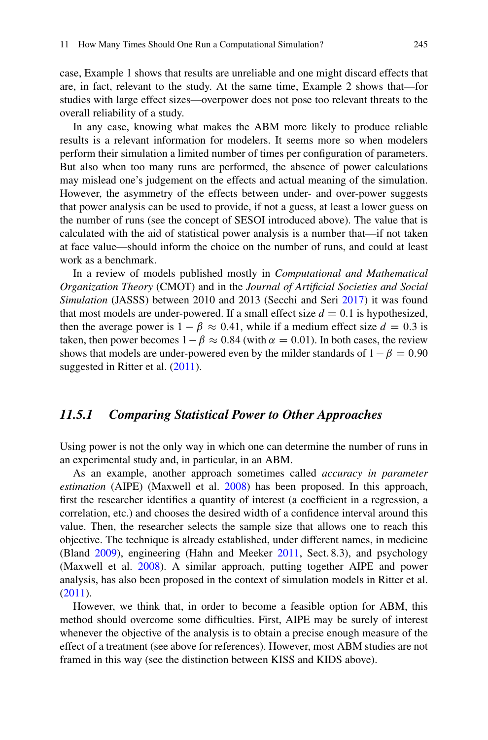case, Example 1 shows that results are unreliable and one might discard effects that are, in fact, relevant to the study. At the same time, Example 2 shows that—for studies with large effect sizes—overpower does not pose too relevant threats to the overall reliability of a study.

In any case, knowing what makes the ABM more likely to produce reliable results is a relevant information for modelers. It seems more so when modelers perform their simulation a limited number of times per configuration of parameters. But also when too many runs are performed, the absence of power calculations may mislead one's judgement on the effects and actual meaning of the simulation. However, the asymmetry of the effects between under- and over-power suggests that power analysis can be used to provide, if not a guess, at least a lower guess on the number of runs (see the concept of SESOI introduced above). The value that is calculated with the aid of statistical power analysis is a number that—if not taken at face value—should inform the choice on the number of runs, and could at least work as a benchmark.

In a review of models published mostly in *Computational and Mathematical Organization Theory* (CMOT) and in the *Journal of Artificial Societies and Social Simulation* (JASSS) between 2010 and 2013 (Secchi and Seri [2017\)](#page-22-10) it was found that most models are under-powered. If a small effect size  $d = 0.1$  is hypothesized, then the average power is  $1 - \beta \approx 0.41$ , while if a medium effect size  $d = 0.3$  is<br>taken then power becomes  $1 - \beta \approx 0.84$  (with  $\alpha = 0.01$ ). In both cases, the review taken, then power becomes  $1 - \beta \approx 0.84$  (with  $\alpha = 0.01$ ). In both cases, the review<br>shows that models are under-powered even by the milder standards of  $1 - \beta = 0.90$ shows that models are under-powered even by the milder standards of  $1 - \beta = 0.90$ <br>suggested in Ritter et al. (2011) suggested in Ritter et al. [\(2011\)](#page-21-0).

### <span id="page-16-0"></span>*11.5.1 Comparing Statistical Power to Other Approaches*

Using power is not the only way in which one can determine the number of runs in an experimental study and, in particular, in an ABM.

As an example, another approach sometimes called *accuracy in parameter estimation* (AIPE) (Maxwell et al. [2008\)](#page-21-20) has been proposed. In this approach, first the researcher identifies a quantity of interest (a coefficient in a regression, a correlation, etc.) and chooses the desired width of a confidence interval around this value. Then, the researcher selects the sample size that allows one to reach this objective. The technique is already established, under different names, in medicine (Bland [2009\)](#page-20-21), engineering (Hahn and Meeker [2011,](#page-20-22) Sect. 8.3), and psychology (Maxwell et al. [2008\)](#page-21-20). A similar approach, putting together AIPE and power analysis, has also been proposed in the context of simulation models in Ritter et al. [\(2011\)](#page-21-0).

However, we think that, in order to become a feasible option for ABM, this method should overcome some difficulties. First, AIPE may be surely of interest whenever the objective of the analysis is to obtain a precise enough measure of the effect of a treatment (see above for references). However, most ABM studies are not framed in this way (see the distinction between KISS and KIDS above).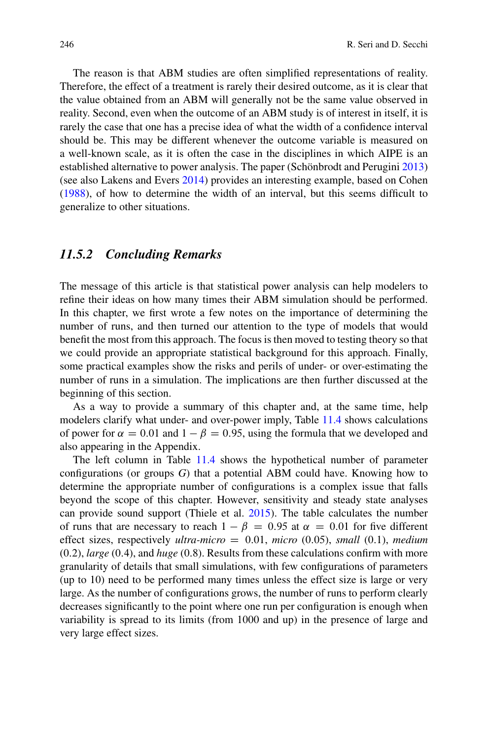The reason is that ABM studies are often simplified representations of reality. Therefore, the effect of a treatment is rarely their desired outcome, as it is clear that the value obtained from an ABM will generally not be the same value observed in reality. Second, even when the outcome of an ABM study is of interest in itself, it is rarely the case that one has a precise idea of what the width of a confidence interval should be. This may be different whenever the outcome variable is measured on a well-known scale, as it is often the case in the disciplines in which AIPE is an established alternative to power analysis. The paper (Schönbrodt and Perugini [2013\)](#page-21-21) (see also Lakens and Evers [2014\)](#page-21-22) provides an interesting example, based on Cohen [\(1988\)](#page-20-0), of how to determine the width of an interval, but this seems difficult to generalize to other situations.

### *11.5.2 Concluding Remarks*

The message of this article is that statistical power analysis can help modelers to refine their ideas on how many times their ABM simulation should be performed. In this chapter, we first wrote a few notes on the importance of determining the number of runs, and then turned our attention to the type of models that would benefit the most from this approach. The focus is then moved to testing theory so that we could provide an appropriate statistical background for this approach. Finally, some practical examples show the risks and perils of under- or over-estimating the number of runs in a simulation. The implications are then further discussed at the beginning of this section.

As a way to provide a summary of this chapter and, at the same time, help modelers clarify what under- and over-power imply, Table [11.4](#page-18-0) shows calculations of power for  $\alpha = 0.01$  and  $1 - \beta = 0.95$ , using the formula that we developed and also appearing in the Appendix also appearing in the Appendix.

The left column in Table [11.4](#page-18-0) shows the hypothetical number of parameter configurations (or groups *G*) that a potential ABM could have. Knowing how to determine the appropriate number of configurations is a complex issue that falls beyond the scope of this chapter. However, sensitivity and steady state analyses can provide sound support (Thiele et al. [2015\)](#page-22-12). The table calculates the number of runs that are necessary to reach  $1 - \beta = 0.95$  at  $\alpha = 0.01$  for five different<br>effect sizes, respectively *ultra-micro* = 0.01 *micro* (0.05) small (0.1) *medium* effect sizes, respectively  $ultra-micro = 0.01$ ,  $micro (0.05)$ ,  $small (0.1)$ ,  $medium$ (0:2), *large* (0:4), and *huge* (0:8). Results from these calculations confirm with more granularity of details that small simulations, with few configurations of parameters (up to 10) need to be performed many times unless the effect size is large or very large. As the number of configurations grows, the number of runs to perform clearly decreases significantly to the point where one run per configuration is enough when variability is spread to its limits (from 1000 and up) in the presence of large and very large effect sizes.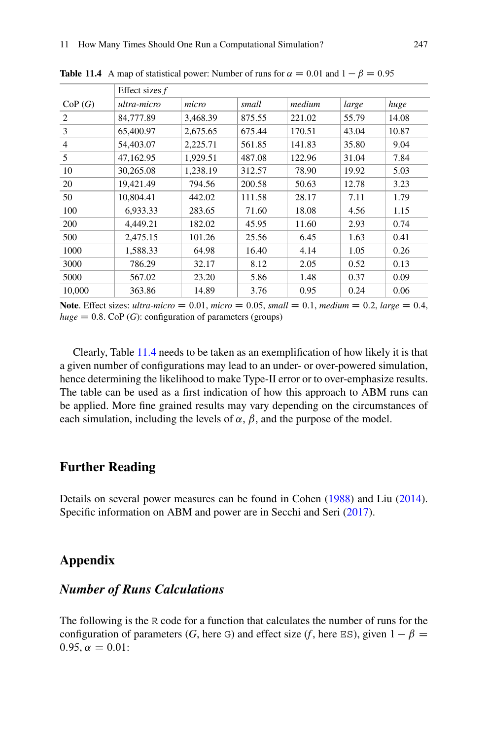<span id="page-18-0"></span>

|                | Effect sizes $f$ |          |        |        |       |       |
|----------------|------------------|----------|--------|--------|-------|-------|
| CoP(G)         | ultra-micro      | micro    | small  | medium | large | huge  |
| $\overline{c}$ | 84,777.89        | 3,468.39 | 875.55 | 221.02 | 55.79 | 14.08 |
| 3              | 65,400.97        | 2,675.65 | 675.44 | 170.51 | 43.04 | 10.87 |
| 4              | 54,403.07        | 2,225.71 | 561.85 | 141.83 | 35.80 | 9.04  |
| 5              | 47,162.95        | 1,929.51 | 487.08 | 122.96 | 31.04 | 7.84  |
| 10             | 30,265.08        | 1,238.19 | 312.57 | 78.90  | 19.92 | 5.03  |
| 20             | 19,421.49        | 794.56   | 200.58 | 50.63  | 12.78 | 3.23  |
| 50             | 10,804.41        | 442.02   | 111.58 | 28.17  | 7.11  | 1.79  |
| 100            | 6,933.33         | 283.65   | 71.60  | 18.08  | 4.56  | 1.15  |
| 200            | 4.449.21         | 182.02   | 45.95  | 11.60  | 2.93  | 0.74  |
| 500            | 2,475.15         | 101.26   | 25.56  | 6.45   | 1.63  | 0.41  |
| 1000           | 1,588.33         | 64.98    | 16.40  | 4.14   | 1.05  | 0.26  |
| 3000           | 786.29           | 32.17    | 8.12   | 2.05   | 0.52  | 0.13  |
| 5000           | 567.02           | 23.20    | 5.86   | 1.48   | 0.37  | 0.09  |
| 10.000         | 363.86           | 14.89    | 3.76   | 0.95   | 0.24  | 0.06  |

**Table 11.4** A map of statistical power: Number of runs for  $\alpha = 0.01$  and  $1 - \beta = 0.95$ 

**Note**. Effect sizes: *ultra-micro* = 0.01, *micro* = 0.05, *small* = 0.1, *medium* = 0.2, *large* = 0.4,  $huge = 0.8$ . CoP (*G*): configuration of parameters (groups)

Clearly, Table [11.4](#page-18-0) needs to be taken as an exemplification of how likely it is that a given number of configurations may lead to an under- or over-powered simulation, hence determining the likelihood to make Type-II error or to over-emphasize results. The table can be used as a first indication of how this approach to ABM runs can be applied. More fine grained results may vary depending on the circumstances of each simulation, including the levels of  $\alpha$ ,  $\beta$ , and the purpose of the model.

### **Further Reading**

Details on several power measures can be found in Cohen [\(1988\)](#page-20-0) and Liu [\(2014\)](#page-21-3). Specific information on ABM and power are in Secchi and Seri [\(2017\)](#page-22-10).

# **Appendix**

### *Number of Runs Calculations*

The following is the R code for a function that calculates the number of runs for the configuration of parameters (*G*, here G) and effect size (*f*, here ES), given  $1 - \beta = 0.95$   $\alpha = 0.01$ .  $0.95, \alpha = 0.01$ :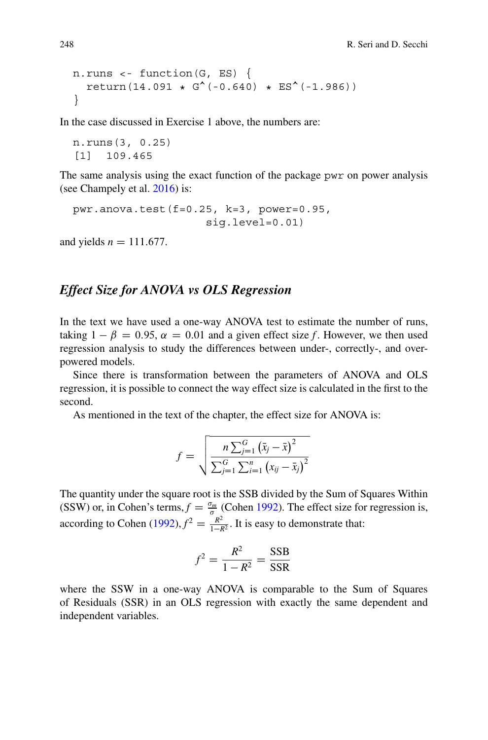```
n.runs <- function(G, ES) {
return(14.091 * G^(-0.640) * ES^(-1.986))}
```
In the case discussed in Exercise 1 above, the numbers are:

n.runs(3, 0.25) [1] 109.465

The same analysis using the exact function of the package pwr on power analysis (see Champely et al. [2016\)](#page-20-20) is:

```
pwr.anova.test(f=0.25, k=3, power=0.95,
                   sig.level=0.01)
```
and yields  $n = 111.677$ .

### *Effect Size for ANOVA vs OLS Regression*

In the text we have used a one-way ANOVA test to estimate the number of runs, taking  $1 - \beta = 0.95$ ,  $\alpha = 0.01$  and a given effect size *f*. However, we then used<br>regression analysis to study the differences between under-correctly- and overregression analysis to study the differences between under-, correctly-, and overpowered models.

Since there is transformation between the parameters of ANOVA and OLS regression, it is possible to connect the way effect size is calculated in the first to the second.

As mentioned in the text of the chapter, the effect size for ANOVA is:

$$
f = \sqrt{\frac{n \sum_{j=1}^{G} (\bar{x}_j - \bar{x})^2}{\sum_{j=1}^{G} \sum_{i=1}^{n} (x_{ij} - \bar{x}_j)^2}}
$$

The quantity under the square root is the SSB divided by the Sum of Squares Within (SSW) or, in Cohen's terms,  $f = \frac{\sigma_m}{\sigma}$  (Cohen [1992\)](#page-20-18). The effect size for regression is, according to Cohen [\(1992\)](#page-20-18),  $f^2 = \frac{R^2}{1-R^2}$ . It is easy to demonstrate that:

$$
f^2 = \frac{R^2}{1 - R^2} = \frac{\text{SSB}}{\text{SSR}}
$$

where the SSW in a one-way ANOVA is comparable to the Sum of Squares of Residuals (SSR) in an OLS regression with exactly the same dependent and independent variables.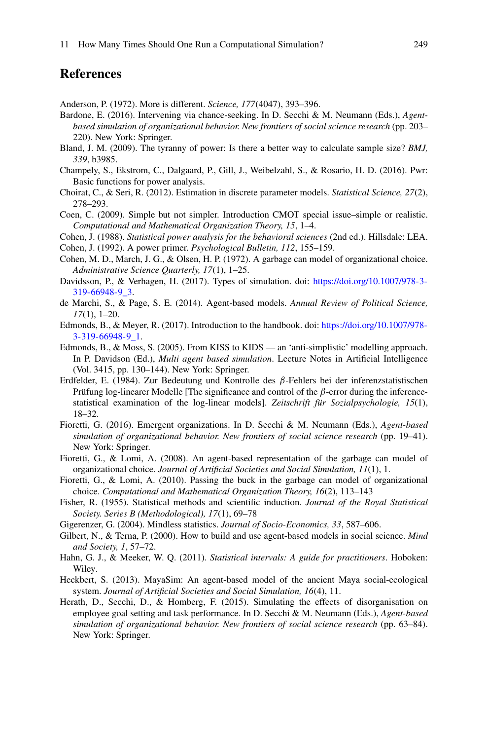### **References**

<span id="page-20-2"></span>Anderson, P. (1972). More is different. *Science, 177*(4047), 393–396.

- <span id="page-20-5"></span>Bardone, E. (2016). Intervening via chance-seeking. In D. Secchi & M. Neumann (Eds.), *Agentbased simulation of organizational behavior. New frontiers of social science research* (pp. 203– 220). New York: Springer.
- <span id="page-20-21"></span>Bland, J. M. (2009). The tyranny of power: Is there a better way to calculate sample size? *BMJ, 339*, b3985.
- <span id="page-20-20"></span>Champely, S., Ekstrom, C., Dalgaard, P., Gill, J., Weibelzahl, S., & Rosario, H. D. (2016). Pwr: Basic functions for power analysis.
- <span id="page-20-13"></span>Choirat, C., & Seri, R. (2012). Estimation in discrete parameter models. *Statistical Science, 27*(2), 278–293.
- <span id="page-20-9"></span>Coen, C. (2009). Simple but not simpler. Introduction CMOT special issue–simple or realistic. *Computational and Mathematical Organization Theory, 15*, 1–4.
- <span id="page-20-0"></span>Cohen, J. (1988). *Statistical power analysis for the behavioral sciences* (2nd ed.). Hillsdale: LEA. Cohen, J. (1992). A power primer. *Psychological Bulletin, 112*, 155–159.
- <span id="page-20-18"></span><span id="page-20-16"></span>Cohen, M. D., March, J. G., & Olsen, H. P. (1972). A garbage can model of organizational choice. *Administrative Science Quarterly, 17*(1), 1–25.
- <span id="page-20-1"></span>Davidsson, P., & Verhagen, H. (2017). Types of simulation. doi: [https://doi.org/10.1007/978-3-](https://doi.org/10.1007/978-3-319-66948-9_3) [319-66948-9\\_3.](https://doi.org/10.1007/978-3-319-66948-9_3)
- <span id="page-20-6"></span>de Marchi, S., & Page, S. E. (2014). Agent-based models. *Annual Review of Political Science, 17*(1), 1–20.
- <span id="page-20-17"></span>Edmonds, B., & Meyer, R. (2017). Introduction to the handbook. doi: [https://doi.org/10.1007/978-](https://doi.org/10.1007/978-3-319-66948-9_1) [3-319-66948-9\\_1.](https://doi.org/10.1007/978-3-319-66948-9_1)
- <span id="page-20-8"></span>Edmonds, B., & Moss, S. (2005). From KISS to KIDS — an 'anti-simplistic' modelling approach. In P. Davidson (Ed.), *Multi agent based simulation*. Lecture Notes in Artificial Intelligence (Vol. 3415, pp. 130–144). New York: Springer.
- <span id="page-20-12"></span>Erdfelder, E. (1984). Zur Bedeutung und Kontrolle des  $\beta$ -Fehlers bei der inferenzstatistischen Prüfung log-linearer Modelle [The significance and control of the  $\beta$ -error during the inferencestatistical examination of the log-linear models]. *Zeitschrift für Sozialpsychologie, 15*(1), 18–32.
- <span id="page-20-3"></span>Fioretti, G. (2016). Emergent organizations. In D. Secchi & M. Neumann (Eds.), *Agent-based simulation of organizational behavior. New frontiers of social science research* (pp. 19–41). New York: Springer.
- <span id="page-20-14"></span>Fioretti, G., & Lomi, A. (2008). An agent-based representation of the garbage can model of organizational choice. *Journal of Artificial Societies and Social Simulation, 11*(1), 1.
- <span id="page-20-15"></span>Fioretti, G., & Lomi, A. (2010). Passing the buck in the garbage can model of organizational choice. *Computational and Mathematical Organization Theory, 16*(2), 113–143
- <span id="page-20-10"></span>Fisher, R. (1955). Statistical methods and scientific induction. *Journal of the Royal Statistical Society. Series B (Methodological), 17*(1), 69–78
- <span id="page-20-11"></span>Gigerenzer, G. (2004). Mindless statistics. *Journal of Socio-Economics, 33*, 587–606.
- <span id="page-20-7"></span>Gilbert, N., & Terna, P. (2000). How to build and use agent-based models in social science. *Mind and Society, 1*, 57–72.
- <span id="page-20-22"></span>Hahn, G. J., & Meeker, W. Q. (2011). *Statistical intervals: A guide for practitioners*. Hoboken: Wiley.
- <span id="page-20-4"></span>Heckbert, S. (2013). MayaSim: An agent-based model of the ancient Maya social-ecological system. *Journal of Artificial Societies and Social Simulation, 16*(4), 11.
- <span id="page-20-19"></span>Herath, D., Secchi, D., & Homberg, F. (2015). Simulating the effects of disorganisation on employee goal setting and task performance. In D. Secchi & M. Neumann (Eds.), *Agent-based simulation of organizational behavior. New frontiers of social science research* (pp. 63–84). New York: Springer.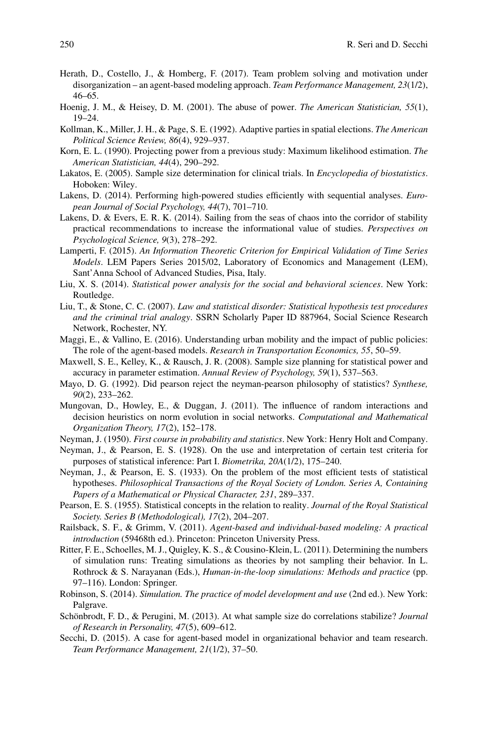- <span id="page-21-12"></span>Herath, D., Costello, J., & Homberg, F. (2017). Team problem solving and motivation under disorganization – an agent-based modeling approach. *Team Performance Management, 23*(1/2), 46–65.
- <span id="page-21-17"></span>Hoenig, J. M., & Heisey, D. M. (2001). The abuse of power. *The American Statistician, 55*(1), 19–24.
- <span id="page-21-5"></span>Kollman, K., Miller, J. H., & Page, S. E. (1992). Adaptive parties in spatial elections. *The American Political Science Review, 86*(4), 929–937.
- <span id="page-21-16"></span>Korn, E. L. (1990). Projecting power from a previous study: Maximum likelihood estimation. *The American Statistician, 44*(4), 290–292.
- <span id="page-21-18"></span>Lakatos, E. (2005). Sample size determination for clinical trials. In *Encyclopedia of biostatistics*. Hoboken: Wiley.
- <span id="page-21-19"></span>Lakens, D. (2014). Performing high-powered studies efficiently with sequential analyses. *European Journal of Social Psychology, 44*(7), 701–710.
- <span id="page-21-22"></span>Lakens, D. & Evers, E. R. K. (2014). Sailing from the seas of chaos into the corridor of stability practical recommendations to increase the informational value of studies. *Perspectives on Psychological Science, 9*(3), 278–292.
- <span id="page-21-8"></span>Lamperti, F. (2015). *An Information Theoretic Criterion for Empirical Validation of Time Series Models*. LEM Papers Series 2015/02, Laboratory of Economics and Management (LEM), Sant'Anna School of Advanced Studies, Pisa, Italy.
- <span id="page-21-3"></span>Liu, X. S. (2014). *Statistical power analysis for the social and behavioral sciences*. New York: Routledge.
- <span id="page-21-11"></span>Liu, T., & Stone, C. C. (2007). *Law and statistical disorder: Statistical hypothesis test procedures and the criminal trial analogy*. SSRN Scholarly Paper ID 887964, Social Science Research Network, Rochester, NY.
- <span id="page-21-7"></span>Maggi, E., & Vallino, E. (2016). Understanding urban mobility and the impact of public policies: The role of the agent-based models. *Research in Transportation Economics, 55*, 50–59.
- <span id="page-21-20"></span>Maxwell, S. E., Kelley, K., & Rausch, J. R. (2008). Sample size planning for statistical power and accuracy in parameter estimation. *Annual Review of Psychology, 59*(1), 537–563.
- <span id="page-21-15"></span>Mayo, D. G. (1992). Did pearson reject the neyman-pearson philosophy of statistics? *Synthese, 90*(2), 233–262.
- <span id="page-21-1"></span>Mungovan, D., Howley, E., & Duggan, J. (2011). The influence of random interactions and decision heuristics on norm evolution in social networks. *Computational and Mathematical Organization Theory, 17*(2), 152–178.
- <span id="page-21-13"></span>Neyman, J. (1950). *First course in probability and statistics*. New York: Henry Holt and Company.
- <span id="page-21-9"></span>Neyman, J., & Pearson, E. S. (1928). On the use and interpretation of certain test criteria for purposes of statistical inference: Part I. *Biometrika, 20A*(1/2), 175–240.
- <span id="page-21-10"></span>Neyman, J., & Pearson, E. S. (1933). On the problem of the most efficient tests of statistical hypotheses. *Philosophical Transactions of the Royal Society of London. Series A, Containing Papers of a Mathematical or Physical Character, 231*, 289–337.
- <span id="page-21-14"></span>Pearson, E. S. (1955). Statistical concepts in the relation to reality. *Journal of the Royal Statistical Society. Series B (Methodological), 17*(2), 204–207.
- <span id="page-21-6"></span>Railsback, S. F., & Grimm, V. (2011). *Agent-based and individual-based modeling: A practical introduction* (59468th ed.). Princeton: Princeton University Press.
- <span id="page-21-0"></span>Ritter, F. E., Schoelles, M. J., Quigley, K. S., & Cousino-Klein, L. (2011). Determining the numbers of simulation runs: Treating simulations as theories by not sampling their behavior. In L. Rothrock & S. Narayanan (Eds.), *Human-in-the-loop simulations: Methods and practice* (pp. 97–116). London: Springer.
- <span id="page-21-2"></span>Robinson, S. (2014). *Simulation. The practice of model development and use* (2nd ed.). New York: Palgrave.
- <span id="page-21-21"></span>Schönbrodt, F. D., & Perugini, M. (2013). At what sample size do correlations stabilize? *Journal of Research in Personality, 47*(5), 609–612.
- <span id="page-21-4"></span>Secchi, D. (2015). A case for agent-based model in organizational behavior and team research. *Team Performance Management, 21*(1/2), 37–50.